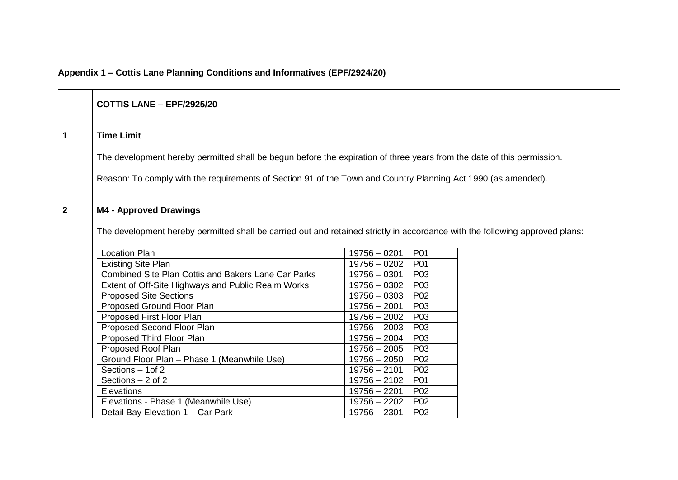# **Appendix 1 – Cottis Lane Planning Conditions and Informatives (EPF/2924/20)**

|                | <b>COTTIS LANE - EPF/2925/20</b>                                                                                             |                |                 |  |
|----------------|------------------------------------------------------------------------------------------------------------------------------|----------------|-----------------|--|
| $\mathbf 1$    | <b>Time Limit</b>                                                                                                            |                |                 |  |
|                | The development hereby permitted shall be begun before the expiration of three years from the date of this permission.       |                |                 |  |
|                | Reason: To comply with the requirements of Section 91 of the Town and Country Planning Act 1990 (as amended).                |                |                 |  |
| $\overline{2}$ | <b>M4 - Approved Drawings</b>                                                                                                |                |                 |  |
|                | The development hereby permitted shall be carried out and retained strictly in accordance with the following approved plans: |                |                 |  |
|                | <b>Location Plan</b>                                                                                                         | $19756 - 0201$ | P01             |  |
|                | <b>Existing Site Plan</b>                                                                                                    | $19756 - 0202$ | P01             |  |
|                | <b>Combined Site Plan Cottis and Bakers Lane Car Parks</b>                                                                   | $19756 - 0301$ | P03             |  |
|                | Extent of Off-Site Highways and Public Realm Works                                                                           | $19756 - 0302$ | P03             |  |
|                | <b>Proposed Site Sections</b>                                                                                                | 19756 - 0303   | P02             |  |
|                | Proposed Ground Floor Plan                                                                                                   | $19756 - 2001$ | P03             |  |
|                | Proposed First Floor Plan                                                                                                    | $19756 - 2002$ | P03             |  |
|                | Proposed Second Floor Plan                                                                                                   | 19756 - 2003   | P03             |  |
|                | Proposed Third Floor Plan                                                                                                    | $19756 - 2004$ | P03             |  |
|                | Proposed Roof Plan                                                                                                           | 19756 - 2005   | P03             |  |
|                | Ground Floor Plan - Phase 1 (Meanwhile Use)                                                                                  | $19756 - 2050$ | P <sub>02</sub> |  |
|                | Sections - 1 of 2                                                                                                            | $19756 - 2101$ | P02             |  |
|                | Sections $-2$ of 2                                                                                                           | $19756 - 2102$ | P01             |  |
|                | Elevations                                                                                                                   | $19756 - 2201$ | P <sub>02</sub> |  |
|                | Elevations - Phase 1 (Meanwhile Use)                                                                                         | $19756 - 2202$ | P <sub>02</sub> |  |
|                | Detail Bay Elevation 1 – Car Park                                                                                            | $19756 - 2301$ | P <sub>02</sub> |  |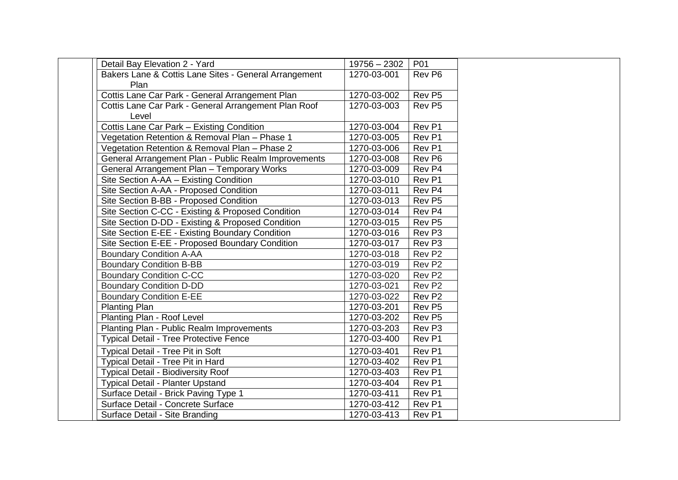| Detail Bay Elevation 2 - Yard                         | $19756 - 2302$ | P01                |
|-------------------------------------------------------|----------------|--------------------|
| Bakers Lane & Cottis Lane Sites - General Arrangement | 1270-03-001    | Rev P6             |
| Plan                                                  |                |                    |
| Cottis Lane Car Park - General Arrangement Plan       | 1270-03-002    | Rev P5             |
| Cottis Lane Car Park - General Arrangement Plan Roof  | 1270-03-003    | Rev P5             |
| Level                                                 |                |                    |
| Cottis Lane Car Park - Existing Condition             | 1270-03-004    | Rev P1             |
| Vegetation Retention & Removal Plan - Phase 1         | 1270-03-005    | Rev P1             |
| Vegetation Retention & Removal Plan - Phase 2         | 1270-03-006    | Rev P1             |
| General Arrangement Plan - Public Realm Improvements  | 1270-03-008    | Rev P6             |
| General Arrangement Plan - Temporary Works            | 1270-03-009    | Rev P4             |
| Site Section A-AA - Existing Condition                | 1270-03-010    | Rev P1             |
| Site Section A-AA - Proposed Condition                | 1270-03-011    | Rev P4             |
| Site Section B-BB - Proposed Condition                | 1270-03-013    | Rev P5             |
| Site Section C-CC - Existing & Proposed Condition     | 1270-03-014    | Rev <sub>P4</sub>  |
| Site Section D-DD - Existing & Proposed Condition     | 1270-03-015    | Rev P5             |
| Site Section E-EE - Existing Boundary Condition       | 1270-03-016    | Rev <sub>P3</sub>  |
| Site Section E-EE - Proposed Boundary Condition       | 1270-03-017    | Rev <sub>P3</sub>  |
| <b>Boundary Condition A-AA</b>                        | 1270-03-018    | Rev P2             |
| <b>Boundary Condition B-BB</b>                        | 1270-03-019    | Rev P2             |
| <b>Boundary Condition C-CC</b>                        | 1270-03-020    | Rev P2             |
| <b>Boundary Condition D-DD</b>                        | 1270-03-021    | Rev P2             |
| <b>Boundary Condition E-EE</b>                        | 1270-03-022    | Rev P2             |
| Planting Plan                                         | 1270-03-201    | Rev P <sub>5</sub> |
| Planting Plan - Roof Level                            | 1270-03-202    | Rev P5             |
| Planting Plan - Public Realm Improvements             | 1270-03-203    | Rev P3             |
| <b>Typical Detail - Tree Protective Fence</b>         | 1270-03-400    | Rev P1             |
| <b>Typical Detail - Tree Pit in Soft</b>              | 1270-03-401    | Rev <sub>P1</sub>  |
| Typical Detail - Tree Pit in Hard                     | 1270-03-402    | Rev P1             |
| <b>Typical Detail - Biodiversity Roof</b>             | 1270-03-403    | Rev P1             |
| Typical Detail - Planter Upstand                      | 1270-03-404    | Rev P1             |
| Surface Detail - Brick Paving Type 1                  | 1270-03-411    | Rev <sub>P1</sub>  |
| Surface Detail - Concrete Surface                     | 1270-03-412    | Rev P1             |
| Surface Detail - Site Branding                        | 1270-03-413    | Rev <sub>P1</sub>  |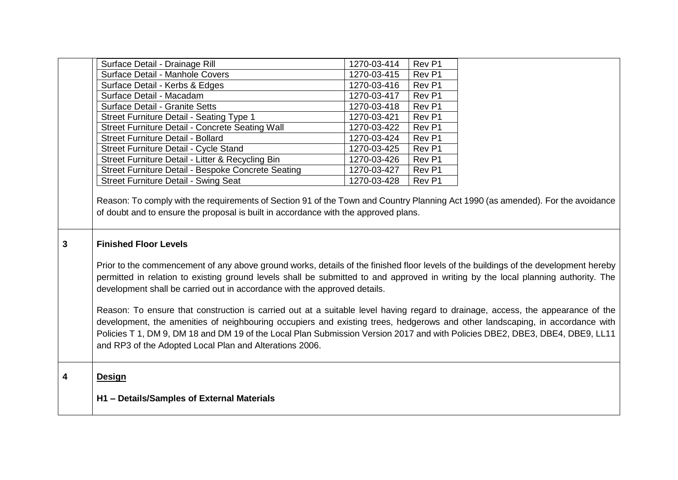|              | Surface Detail - Drainage Rill                                                                                                                                                                                                                                                                                                                                                                                                                                                                                                                                                                                                                                                                                                                                                                                                                                                                                                               | 1270-03-414 | Rev <sub>P1</sub> |  |
|--------------|----------------------------------------------------------------------------------------------------------------------------------------------------------------------------------------------------------------------------------------------------------------------------------------------------------------------------------------------------------------------------------------------------------------------------------------------------------------------------------------------------------------------------------------------------------------------------------------------------------------------------------------------------------------------------------------------------------------------------------------------------------------------------------------------------------------------------------------------------------------------------------------------------------------------------------------------|-------------|-------------------|--|
|              | Surface Detail - Manhole Covers                                                                                                                                                                                                                                                                                                                                                                                                                                                                                                                                                                                                                                                                                                                                                                                                                                                                                                              | 1270-03-415 | Rev <sub>P1</sub> |  |
|              | Surface Detail - Kerbs & Edges                                                                                                                                                                                                                                                                                                                                                                                                                                                                                                                                                                                                                                                                                                                                                                                                                                                                                                               | 1270-03-416 | Rev P1            |  |
|              | Surface Detail - Macadam                                                                                                                                                                                                                                                                                                                                                                                                                                                                                                                                                                                                                                                                                                                                                                                                                                                                                                                     | 1270-03-417 | Rev <sub>P1</sub> |  |
|              | <b>Surface Detail - Granite Setts</b>                                                                                                                                                                                                                                                                                                                                                                                                                                                                                                                                                                                                                                                                                                                                                                                                                                                                                                        | 1270-03-418 | Rev <sub>P1</sub> |  |
|              | Street Furniture Detail - Seating Type 1                                                                                                                                                                                                                                                                                                                                                                                                                                                                                                                                                                                                                                                                                                                                                                                                                                                                                                     | 1270-03-421 | Rev <sub>P1</sub> |  |
|              | Street Furniture Detail - Concrete Seating Wall                                                                                                                                                                                                                                                                                                                                                                                                                                                                                                                                                                                                                                                                                                                                                                                                                                                                                              | 1270-03-422 | Rev <sub>P1</sub> |  |
|              | <b>Street Furniture Detail - Bollard</b>                                                                                                                                                                                                                                                                                                                                                                                                                                                                                                                                                                                                                                                                                                                                                                                                                                                                                                     | 1270-03-424 | Rev P1            |  |
|              | Street Furniture Detail - Cycle Stand                                                                                                                                                                                                                                                                                                                                                                                                                                                                                                                                                                                                                                                                                                                                                                                                                                                                                                        | 1270-03-425 | Rev <sub>P1</sub> |  |
|              | Street Furniture Detail - Litter & Recycling Bin                                                                                                                                                                                                                                                                                                                                                                                                                                                                                                                                                                                                                                                                                                                                                                                                                                                                                             | 1270-03-426 | Rev <sub>P1</sub> |  |
|              | Street Furniture Detail - Bespoke Concrete Seating                                                                                                                                                                                                                                                                                                                                                                                                                                                                                                                                                                                                                                                                                                                                                                                                                                                                                           | 1270-03-427 | Rev <sub>P1</sub> |  |
|              | <b>Street Furniture Detail - Swing Seat</b>                                                                                                                                                                                                                                                                                                                                                                                                                                                                                                                                                                                                                                                                                                                                                                                                                                                                                                  | 1270-03-428 | Rev P1            |  |
| $\mathbf{3}$ | of doubt and to ensure the proposal is built in accordance with the approved plans.<br><b>Finished Floor Levels</b><br>Prior to the commencement of any above ground works, details of the finished floor levels of the buildings of the development hereby<br>permitted in relation to existing ground levels shall be submitted to and approved in writing by the local planning authority. The<br>development shall be carried out in accordance with the approved details.<br>Reason: To ensure that construction is carried out at a suitable level having regard to drainage, access, the appearance of the<br>development, the amenities of neighbouring occupiers and existing trees, hedgerows and other landscaping, in accordance with<br>Policies T 1, DM 9, DM 18 and DM 19 of the Local Plan Submission Version 2017 and with Policies DBE2, DBE3, DBE4, DBE9, LL11<br>and RP3 of the Adopted Local Plan and Alterations 2006. |             |                   |  |
| 4            | <b>Design</b>                                                                                                                                                                                                                                                                                                                                                                                                                                                                                                                                                                                                                                                                                                                                                                                                                                                                                                                                |             |                   |  |
|              |                                                                                                                                                                                                                                                                                                                                                                                                                                                                                                                                                                                                                                                                                                                                                                                                                                                                                                                                              |             |                   |  |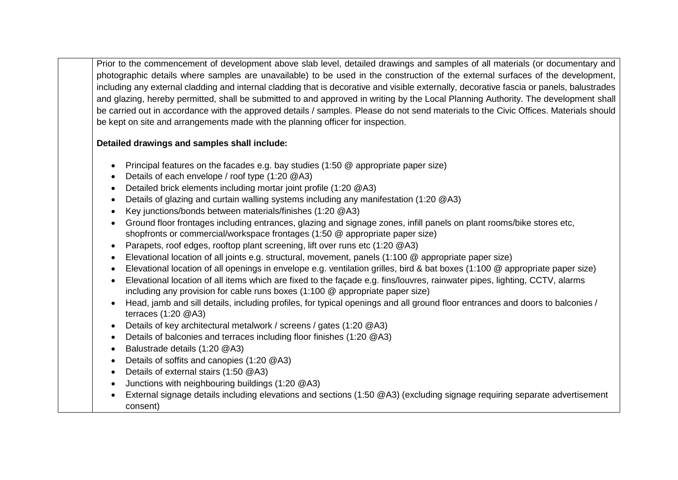Prior to the commencement of development above slab level, detailed drawings and samples of all materials (or documentary and photographic details where samples are unavailable) to be used in the construction of the external surfaces of the development, including any external cladding and internal cladding that is decorative and visible externally, decorative fascia or panels, balustrades and glazing, hereby permitted, shall be submitted to and approved in writing by the Local Planning Authority. The development shall be carried out in accordance with the approved details / samples. Please do not send materials to the Civic Offices. Materials should be kept on site and arrangements made with the planning officer for inspection.

### **Detailed drawings and samples shall include:**

- Principal features on the facades e.g. bay studies (1:50 @ appropriate paper size)
- Details of each envelope / roof type (1:20 @A3)
- Detailed brick elements including mortar joint profile (1:20 @A3)
- Details of glazing and curtain walling systems including any manifestation (1:20 @A3)
- Key junctions/bonds between materials/finishes (1:20 @A3)
- Ground floor frontages including entrances, glazing and signage zones, infill panels on plant rooms/bike stores etc, shopfronts or commercial/workspace frontages (1:50 @ appropriate paper size)
- Parapets, roof edges, rooftop plant screening, lift over runs etc (1:20 @A3)
- Elevational location of all joints e.g. structural, movement, panels (1:100 @ appropriate paper size)
- Elevational location of all openings in envelope e.g. ventilation grilles, bird & bat boxes (1:100 @ appropriate paper size)
- Elevational location of all items which are fixed to the façade e.g. fins/louvres, rainwater pipes, lighting, CCTV, alarms including any provision for cable runs boxes (1:100 @ appropriate paper size)
- Head, jamb and sill details, including profiles, for typical openings and all ground floor entrances and doors to balconies / terraces (1:20 @A3)
- Details of key architectural metalwork / screens / gates (1:20 @A3)
- Details of balconies and terraces including floor finishes (1:20 @A3)
- Balustrade details (1:20 @A3)
- Details of soffits and canopies (1:20 @A3)
- Details of external stairs (1:50 @A3)
- Junctions with neighbouring buildings (1:20 @A3)
- External signage details including elevations and sections (1:50 @A3) (excluding signage requiring separate advertisement consent)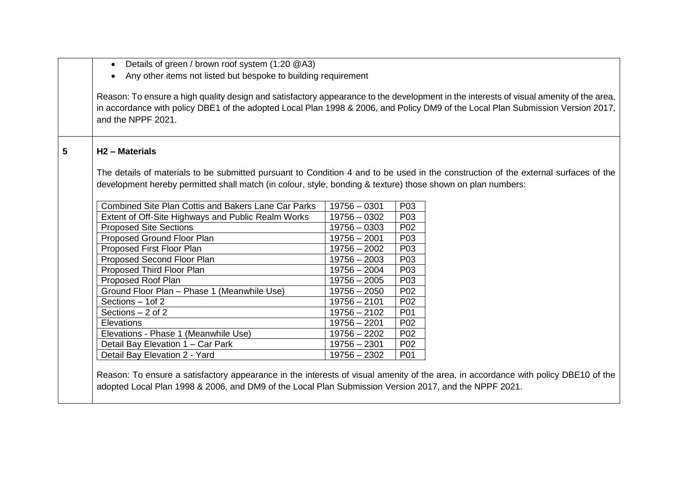| Details of green / brown roof system (1:20 @A3)<br>$\bullet$<br>Any other items not listed but bespoke to building requirement                                                                                                                                                                  |                |                  |  |
|-------------------------------------------------------------------------------------------------------------------------------------------------------------------------------------------------------------------------------------------------------------------------------------------------|----------------|------------------|--|
| Reason: To ensure a high quality design and satisfactory appearance to the development in the interests of visual amenity of the area,<br>in accordance with policy DBE1 of the adopted Local Plan 1998 & 2006, and Policy DM9 of the Local Plan Submission Version 2017,<br>and the NPPF 2021. |                |                  |  |
| H <sub>2</sub> - Materials                                                                                                                                                                                                                                                                      |                |                  |  |
| The details of materials to be submitted pursuant to Condition 4 and to be used in the construction of the external surfaces of the                                                                                                                                                             |                |                  |  |
| development hereby permitted shall match (in colour, style, bonding & texture) those shown on plan numbers:                                                                                                                                                                                     |                |                  |  |
| <b>Combined Site Plan Cottis and Bakers Lane Car Parks</b>                                                                                                                                                                                                                                      | $19756 - 0301$ | P03              |  |
| Extent of Off-Site Highways and Public Realm Works                                                                                                                                                                                                                                              | $19756 - 0302$ | P03              |  |
| <b>Proposed Site Sections</b>                                                                                                                                                                                                                                                                   | $19756 - 0303$ | P <sub>02</sub>  |  |
| Proposed Ground Floor Plan                                                                                                                                                                                                                                                                      | $19756 - 2001$ | P <sub>0</sub> 3 |  |
| Proposed First Floor Plan                                                                                                                                                                                                                                                                       | $19756 - 2002$ | P <sub>0</sub> 3 |  |
|                                                                                                                                                                                                                                                                                                 | $19756 - 2003$ | P03              |  |
| Proposed Second Floor Plan                                                                                                                                                                                                                                                                      |                |                  |  |
| Proposed Third Floor Plan                                                                                                                                                                                                                                                                       | $19756 - 2004$ | P <sub>0</sub> 3 |  |
| Proposed Roof Plan                                                                                                                                                                                                                                                                              | $19756 - 2005$ | P03              |  |
| Ground Floor Plan - Phase 1 (Meanwhile Use)                                                                                                                                                                                                                                                     | $19756 - 2050$ | P <sub>02</sub>  |  |
| Sections - 1 of 2                                                                                                                                                                                                                                                                               | $19756 - 2101$ | P <sub>02</sub>  |  |
| Sections $-2$ of 2                                                                                                                                                                                                                                                                              | $19756 - 2102$ | P01              |  |
| Elevations                                                                                                                                                                                                                                                                                      | $19756 - 2201$ | P <sub>02</sub>  |  |
| Elevations - Phase 1 (Meanwhile Use)                                                                                                                                                                                                                                                            | $19756 - 2202$ | P <sub>02</sub>  |  |
| Detail Bay Elevation 1 - Car Park                                                                                                                                                                                                                                                               | $19756 - 2301$ | P02              |  |

adopted Local Plan 1998 & 2006, and DM9 of the Local Plan Submission Version 2017, and the NPPF 2021.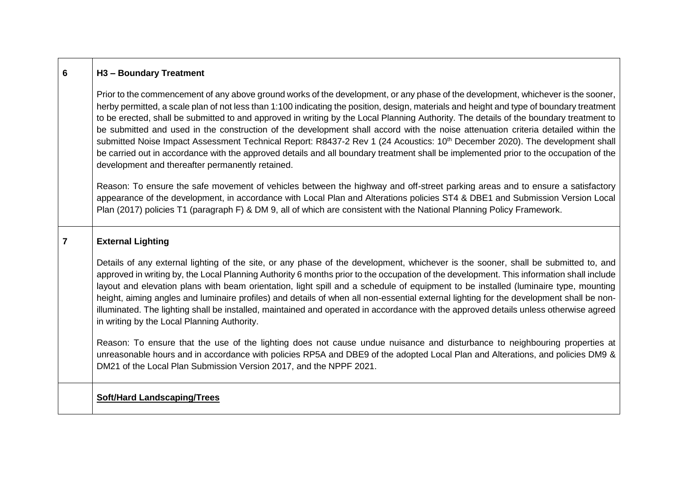| 6              | H <sub>3</sub> - Boundary Treatment                                                                                                                                                                                                                                                                                                                                                                                                                                                                                                                                                                                                                                                                                                                                                                                                                                                                   |
|----------------|-------------------------------------------------------------------------------------------------------------------------------------------------------------------------------------------------------------------------------------------------------------------------------------------------------------------------------------------------------------------------------------------------------------------------------------------------------------------------------------------------------------------------------------------------------------------------------------------------------------------------------------------------------------------------------------------------------------------------------------------------------------------------------------------------------------------------------------------------------------------------------------------------------|
|                | Prior to the commencement of any above ground works of the development, or any phase of the development, whichever is the sooner,<br>herby permitted, a scale plan of not less than 1:100 indicating the position, design, materials and height and type of boundary treatment<br>to be erected, shall be submitted to and approved in writing by the Local Planning Authority. The details of the boundary treatment to<br>be submitted and used in the construction of the development shall accord with the noise attenuation criteria detailed within the<br>submitted Noise Impact Assessment Technical Report: R8437-2 Rev 1 (24 Acoustics: 10 <sup>th</sup> December 2020). The development shall<br>be carried out in accordance with the approved details and all boundary treatment shall be implemented prior to the occupation of the<br>development and thereafter permanently retained. |
|                | Reason: To ensure the safe movement of vehicles between the highway and off-street parking areas and to ensure a satisfactory<br>appearance of the development, in accordance with Local Plan and Alterations policies ST4 & DBE1 and Submission Version Local<br>Plan (2017) policies T1 (paragraph F) & DM 9, all of which are consistent with the National Planning Policy Framework.                                                                                                                                                                                                                                                                                                                                                                                                                                                                                                              |
| $\overline{7}$ | <b>External Lighting</b>                                                                                                                                                                                                                                                                                                                                                                                                                                                                                                                                                                                                                                                                                                                                                                                                                                                                              |
|                | Details of any external lighting of the site, or any phase of the development, whichever is the sooner, shall be submitted to, and<br>approved in writing by, the Local Planning Authority 6 months prior to the occupation of the development. This information shall include<br>layout and elevation plans with beam orientation, light spill and a schedule of equipment to be installed (luminaire type, mounting<br>height, aiming angles and luminaire profiles) and details of when all non-essential external lighting for the development shall be non-<br>illuminated. The lighting shall be installed, maintained and operated in accordance with the approved details unless otherwise agreed<br>in writing by the Local Planning Authority.                                                                                                                                              |

Reason: To ensure that the use of the lighting does not cause undue nuisance and disturbance to neighbouring properties at unreasonable hours and in accordance with policies RP5A and DBE9 of the adopted Local Plan and Alterations, and policies DM9 & DM21 of the Local Plan Submission Version 2017, and the NPPF 2021.

## **Soft/Hard Landscaping/Trees**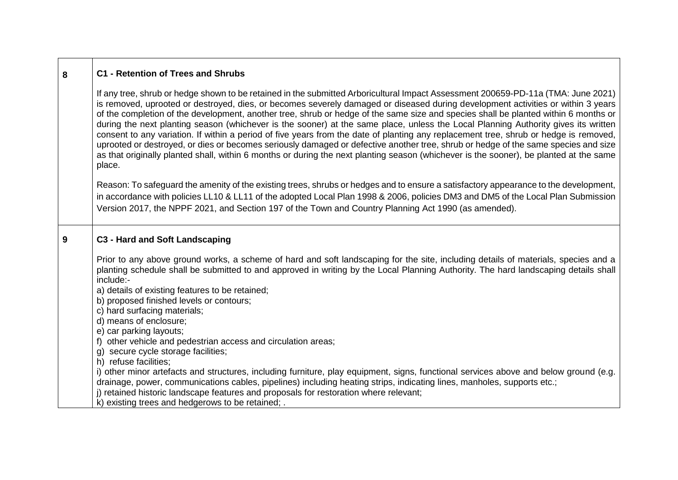| 8 | <b>C1 - Retention of Trees and Shrubs</b>                                                                                                                                                                                                                                                                                                                                                                                                                                                                                                                                                                                                                                                                                                                                                                                                                                                                                                                                             |
|---|---------------------------------------------------------------------------------------------------------------------------------------------------------------------------------------------------------------------------------------------------------------------------------------------------------------------------------------------------------------------------------------------------------------------------------------------------------------------------------------------------------------------------------------------------------------------------------------------------------------------------------------------------------------------------------------------------------------------------------------------------------------------------------------------------------------------------------------------------------------------------------------------------------------------------------------------------------------------------------------|
|   | If any tree, shrub or hedge shown to be retained in the submitted Arboricultural Impact Assessment 200659-PD-11a (TMA: June 2021)<br>is removed, uprooted or destroyed, dies, or becomes severely damaged or diseased during development activities or within 3 years<br>of the completion of the development, another tree, shrub or hedge of the same size and species shall be planted within 6 months or<br>during the next planting season (whichever is the sooner) at the same place, unless the Local Planning Authority gives its written<br>consent to any variation. If within a period of five years from the date of planting any replacement tree, shrub or hedge is removed,<br>uprooted or destroyed, or dies or becomes seriously damaged or defective another tree, shrub or hedge of the same species and size<br>as that originally planted shall, within 6 months or during the next planting season (whichever is the sooner), be planted at the same<br>place. |
|   | Reason: To safeguard the amenity of the existing trees, shrubs or hedges and to ensure a satisfactory appearance to the development,<br>in accordance with policies LL10 & LL11 of the adopted Local Plan 1998 & 2006, policies DM3 and DM5 of the Local Plan Submission<br>Version 2017, the NPPF 2021, and Section 197 of the Town and Country Planning Act 1990 (as amended).                                                                                                                                                                                                                                                                                                                                                                                                                                                                                                                                                                                                      |
| 9 | C3 - Hard and Soft Landscaping                                                                                                                                                                                                                                                                                                                                                                                                                                                                                                                                                                                                                                                                                                                                                                                                                                                                                                                                                        |
|   | Prior to any above ground works, a scheme of hard and soft landscaping for the site, including details of materials, species and a<br>planting schedule shall be submitted to and approved in writing by the Local Planning Authority. The hard landscaping details shall<br>include:-<br>a) details of existing features to be retained;<br>b) proposed finished levels or contours;<br>c) hard surfacing materials;<br>d) means of enclosure;<br>e) car parking layouts;                                                                                                                                                                                                                                                                                                                                                                                                                                                                                                            |
|   | f) other vehicle and pedestrian access and circulation areas;<br>g) secure cycle storage facilities;                                                                                                                                                                                                                                                                                                                                                                                                                                                                                                                                                                                                                                                                                                                                                                                                                                                                                  |
|   | h) refuse facilities;<br>i) other minor artefacts and structures, including furniture, play equipment, signs, functional services above and below ground (e.g.<br>drainage, power, communications cables, pipelines) including heating strips, indicating lines, manholes, supports etc.;<br>j) retained historic landscape features and proposals for restoration where relevant;<br>k) existing trees and hedgerows to be retained; .                                                                                                                                                                                                                                                                                                                                                                                                                                                                                                                                               |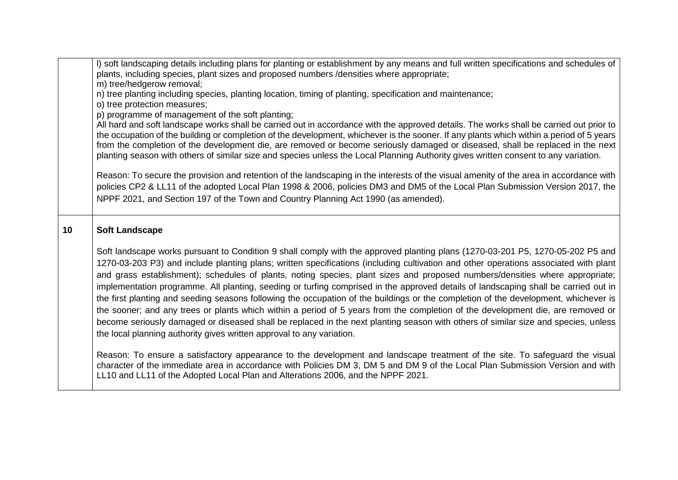|    | I) soft landscaping details including plans for planting or establishment by any means and full written specifications and schedules of<br>plants, including species, plant sizes and proposed numbers /densities where appropriate;<br>m) tree/hedgerow removal;                                                                                                                                                                                                                                                                                                                                                                                                                                                                                                                                                                                                                                                                                                                                                                      |
|----|----------------------------------------------------------------------------------------------------------------------------------------------------------------------------------------------------------------------------------------------------------------------------------------------------------------------------------------------------------------------------------------------------------------------------------------------------------------------------------------------------------------------------------------------------------------------------------------------------------------------------------------------------------------------------------------------------------------------------------------------------------------------------------------------------------------------------------------------------------------------------------------------------------------------------------------------------------------------------------------------------------------------------------------|
|    | n) tree planting including species, planting location, timing of planting, specification and maintenance;<br>o) tree protection measures;<br>p) programme of management of the soft planting;                                                                                                                                                                                                                                                                                                                                                                                                                                                                                                                                                                                                                                                                                                                                                                                                                                          |
|    | All hard and soft landscape works shall be carried out in accordance with the approved details. The works shall be carried out prior to<br>the occupation of the building or completion of the development, whichever is the sooner. If any plants which within a period of 5 years<br>from the completion of the development die, are removed or become seriously damaged or diseased, shall be replaced in the next<br>planting season with others of similar size and species unless the Local Planning Authority gives written consent to any variation.                                                                                                                                                                                                                                                                                                                                                                                                                                                                           |
|    | Reason: To secure the provision and retention of the landscaping in the interests of the visual amenity of the area in accordance with<br>policies CP2 & LL11 of the adopted Local Plan 1998 & 2006, policies DM3 and DM5 of the Local Plan Submission Version 2017, the<br>NPPF 2021, and Section 197 of the Town and Country Planning Act 1990 (as amended).                                                                                                                                                                                                                                                                                                                                                                                                                                                                                                                                                                                                                                                                         |
| 10 | <b>Soft Landscape</b>                                                                                                                                                                                                                                                                                                                                                                                                                                                                                                                                                                                                                                                                                                                                                                                                                                                                                                                                                                                                                  |
|    | Soft landscape works pursuant to Condition 9 shall comply with the approved planting plans (1270-03-201 P5, 1270-05-202 P5 and<br>1270-03-203 P3) and include planting plans; written specifications (including cultivation and other operations associated with plant<br>and grass establishment); schedules of plants, noting species, plant sizes and proposed numbers/densities where appropriate;<br>implementation programme. All planting, seeding or turfing comprised in the approved details of landscaping shall be carried out in<br>the first planting and seeding seasons following the occupation of the buildings or the completion of the development, whichever is<br>the sooner; and any trees or plants which within a period of 5 years from the completion of the development die, are removed or<br>become seriously damaged or diseased shall be replaced in the next planting season with others of similar size and species, unless<br>the local planning authority gives written approval to any variation. |
|    | Reason: To ensure a satisfactory appearance to the development and landscape treatment of the site. To safeguard the visual<br>character of the immediate area in accordance with Policies DM 3, DM 5 and DM 9 of the Local Plan Submission Version and with<br>LL10 and LL11 of the Adopted Local Plan and Alterations 2006, and the NPPF 2021.                                                                                                                                                                                                                                                                                                                                                                                                                                                                                                                                                                                                                                                                                       |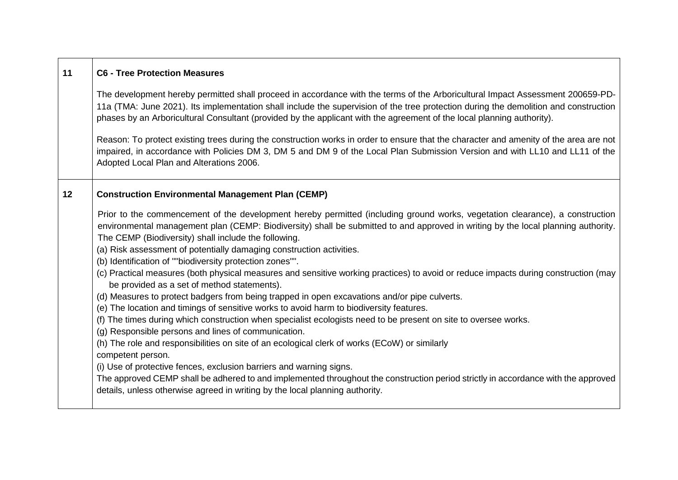| 11 | <b>C6 - Tree Protection Measures</b>                                                                                                                                                                                                                                                                                                                                                                                                                                                                                                                                                                                                                                                                                                                                                                                                                                                                                                                                                                                                                                                                                                                                                                                                                                                                                                                                                                                                       |
|----|--------------------------------------------------------------------------------------------------------------------------------------------------------------------------------------------------------------------------------------------------------------------------------------------------------------------------------------------------------------------------------------------------------------------------------------------------------------------------------------------------------------------------------------------------------------------------------------------------------------------------------------------------------------------------------------------------------------------------------------------------------------------------------------------------------------------------------------------------------------------------------------------------------------------------------------------------------------------------------------------------------------------------------------------------------------------------------------------------------------------------------------------------------------------------------------------------------------------------------------------------------------------------------------------------------------------------------------------------------------------------------------------------------------------------------------------|
|    | The development hereby permitted shall proceed in accordance with the terms of the Arboricultural Impact Assessment 200659-PD-<br>11a (TMA: June 2021). Its implementation shall include the supervision of the tree protection during the demolition and construction<br>phases by an Arboricultural Consultant (provided by the applicant with the agreement of the local planning authority).                                                                                                                                                                                                                                                                                                                                                                                                                                                                                                                                                                                                                                                                                                                                                                                                                                                                                                                                                                                                                                           |
|    | Reason: To protect existing trees during the construction works in order to ensure that the character and amenity of the area are not<br>impaired, in accordance with Policies DM 3, DM 5 and DM 9 of the Local Plan Submission Version and with LL10 and LL11 of the<br>Adopted Local Plan and Alterations 2006.                                                                                                                                                                                                                                                                                                                                                                                                                                                                                                                                                                                                                                                                                                                                                                                                                                                                                                                                                                                                                                                                                                                          |
| 12 | <b>Construction Environmental Management Plan (CEMP)</b>                                                                                                                                                                                                                                                                                                                                                                                                                                                                                                                                                                                                                                                                                                                                                                                                                                                                                                                                                                                                                                                                                                                                                                                                                                                                                                                                                                                   |
|    | Prior to the commencement of the development hereby permitted (including ground works, vegetation clearance), a construction<br>environmental management plan (CEMP: Biodiversity) shall be submitted to and approved in writing by the local planning authority.<br>The CEMP (Biodiversity) shall include the following.<br>(a) Risk assessment of potentially damaging construction activities.<br>(b) Identification of ""biodiversity protection zones"".<br>(c) Practical measures (both physical measures and sensitive working practices) to avoid or reduce impacts during construction (may<br>be provided as a set of method statements).<br>(d) Measures to protect badgers from being trapped in open excavations and/or pipe culverts.<br>(e) The location and timings of sensitive works to avoid harm to biodiversity features.<br>(f) The times during which construction when specialist ecologists need to be present on site to oversee works.<br>(g) Responsible persons and lines of communication.<br>(h) The role and responsibilities on site of an ecological clerk of works (ECoW) or similarly<br>competent person.<br>(i) Use of protective fences, exclusion barriers and warning signs.<br>The approved CEMP shall be adhered to and implemented throughout the construction period strictly in accordance with the approved<br>details, unless otherwise agreed in writing by the local planning authority. |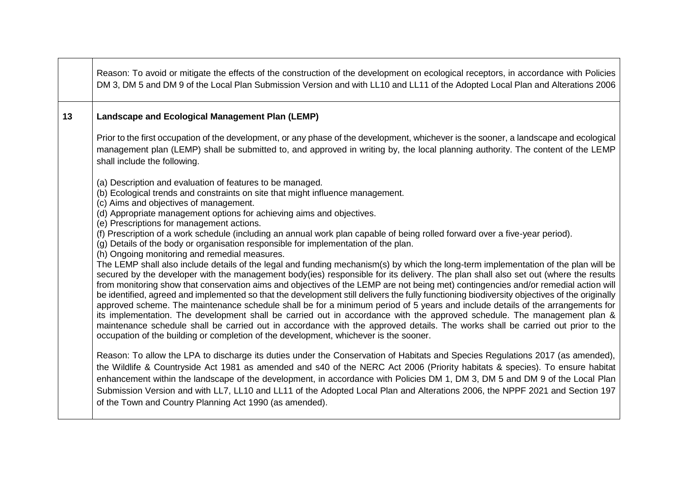|    | Reason: To avoid or mitigate the effects of the construction of the development on ecological receptors, in accordance with Policies<br>DM 3, DM 5 and DM 9 of the Local Plan Submission Version and with LL10 and LL11 of the Adopted Local Plan and Alterations 2006                                                                                                                                                                                                                                                                                                                                                                                                                                                                                                                                                                                                                                                                                                                                                                                                                                                                                   |
|----|----------------------------------------------------------------------------------------------------------------------------------------------------------------------------------------------------------------------------------------------------------------------------------------------------------------------------------------------------------------------------------------------------------------------------------------------------------------------------------------------------------------------------------------------------------------------------------------------------------------------------------------------------------------------------------------------------------------------------------------------------------------------------------------------------------------------------------------------------------------------------------------------------------------------------------------------------------------------------------------------------------------------------------------------------------------------------------------------------------------------------------------------------------|
| 13 | Landscape and Ecological Management Plan (LEMP)                                                                                                                                                                                                                                                                                                                                                                                                                                                                                                                                                                                                                                                                                                                                                                                                                                                                                                                                                                                                                                                                                                          |
|    | Prior to the first occupation of the development, or any phase of the development, whichever is the sooner, a landscape and ecological<br>management plan (LEMP) shall be submitted to, and approved in writing by, the local planning authority. The content of the LEMP<br>shall include the following.                                                                                                                                                                                                                                                                                                                                                                                                                                                                                                                                                                                                                                                                                                                                                                                                                                                |
|    | (a) Description and evaluation of features to be managed.<br>(b) Ecological trends and constraints on site that might influence management.<br>(c) Aims and objectives of management.<br>(d) Appropriate management options for achieving aims and objectives.<br>(e) Prescriptions for management actions.<br>(f) Prescription of a work schedule (including an annual work plan capable of being rolled forward over a five-year period).<br>(g) Details of the body or organisation responsible for implementation of the plan.<br>(h) Ongoing monitoring and remedial measures.<br>The LEMP shall also include details of the legal and funding mechanism(s) by which the long-term implementation of the plan will be<br>secured by the developer with the management body(ies) responsible for its delivery. The plan shall also set out (where the results<br>from monitoring show that conservation aims and objectives of the LEMP are not being met) contingencies and/or remedial action will<br>be identified, agreed and implemented so that the development still delivers the fully functioning biodiversity objectives of the originally |
|    | approved scheme. The maintenance schedule shall be for a minimum period of 5 years and include details of the arrangements for<br>its implementation. The development shall be carried out in accordance with the approved schedule. The management plan &<br>maintenance schedule shall be carried out in accordance with the approved details. The works shall be carried out prior to the<br>occupation of the building or completion of the development, whichever is the sooner.                                                                                                                                                                                                                                                                                                                                                                                                                                                                                                                                                                                                                                                                    |
|    | Reason: To allow the LPA to discharge its duties under the Conservation of Habitats and Species Regulations 2017 (as amended),<br>the Wildlife & Countryside Act 1981 as amended and s40 of the NERC Act 2006 (Priority habitats & species). To ensure habitat<br>enhancement within the landscape of the development, in accordance with Policies DM 1, DM 3, DM 5 and DM 9 of the Local Plan<br>Submission Version and with LL7, LL10 and LL11 of the Adopted Local Plan and Alterations 2006, the NPPF 2021 and Section 197<br>of the Town and Country Planning Act 1990 (as amended).                                                                                                                                                                                                                                                                                                                                                                                                                                                                                                                                                                |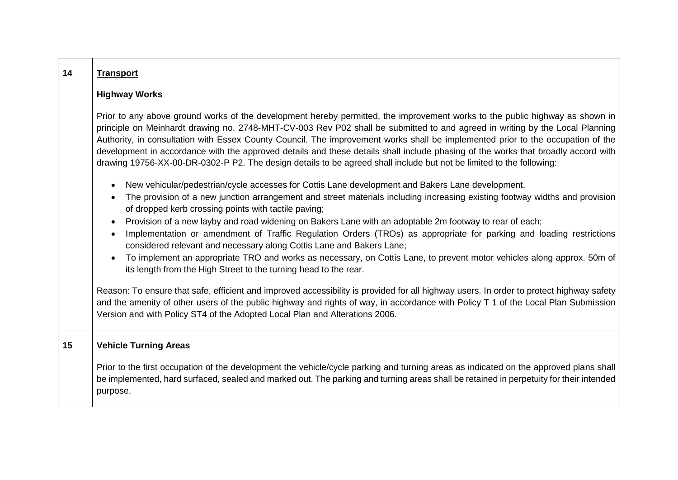| 14 | <b>Transport</b>                                                                                                                                                                                                                                                                                                                                                                                                                                                                                                                                                                                                                                                                                                                                                                                             |
|----|--------------------------------------------------------------------------------------------------------------------------------------------------------------------------------------------------------------------------------------------------------------------------------------------------------------------------------------------------------------------------------------------------------------------------------------------------------------------------------------------------------------------------------------------------------------------------------------------------------------------------------------------------------------------------------------------------------------------------------------------------------------------------------------------------------------|
|    | <b>Highway Works</b>                                                                                                                                                                                                                                                                                                                                                                                                                                                                                                                                                                                                                                                                                                                                                                                         |
|    | Prior to any above ground works of the development hereby permitted, the improvement works to the public highway as shown in<br>principle on Meinhardt drawing no. 2748-MHT-CV-003 Rev P02 shall be submitted to and agreed in writing by the Local Planning<br>Authority, in consultation with Essex County Council. The improvement works shall be implemented prior to the occupation of the<br>development in accordance with the approved details and these details shall include phasing of the works that broadly accord with<br>drawing 19756-XX-00-DR-0302-P P2. The design details to be agreed shall include but not be limited to the following:                                                                                                                                                 |
|    | New vehicular/pedestrian/cycle accesses for Cottis Lane development and Bakers Lane development.<br>The provision of a new junction arrangement and street materials including increasing existing footway widths and provision<br>of dropped kerb crossing points with tactile paving;<br>Provision of a new layby and road widening on Bakers Lane with an adoptable 2m footway to rear of each;<br>$\bullet$<br>Implementation or amendment of Traffic Regulation Orders (TROs) as appropriate for parking and loading restrictions<br>considered relevant and necessary along Cottis Lane and Bakers Lane;<br>To implement an appropriate TRO and works as necessary, on Cottis Lane, to prevent motor vehicles along approx. 50m of<br>its length from the High Street to the turning head to the rear. |
|    | Reason: To ensure that safe, efficient and improved accessibility is provided for all highway users. In order to protect highway safety<br>and the amenity of other users of the public highway and rights of way, in accordance with Policy T 1 of the Local Plan Submission<br>Version and with Policy ST4 of the Adopted Local Plan and Alterations 2006.                                                                                                                                                                                                                                                                                                                                                                                                                                                 |
| 15 | <b>Vehicle Turning Areas</b>                                                                                                                                                                                                                                                                                                                                                                                                                                                                                                                                                                                                                                                                                                                                                                                 |
|    | Prior to the first occupation of the development the vehicle/cycle parking and turning areas as indicated on the approved plans shall<br>be implemented, hard surfaced, sealed and marked out. The parking and turning areas shall be retained in perpetuity for their intended<br>purpose.                                                                                                                                                                                                                                                                                                                                                                                                                                                                                                                  |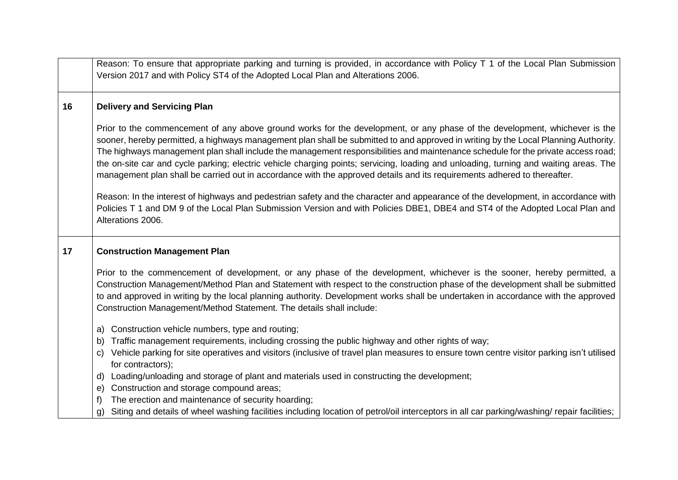|    | Reason: To ensure that appropriate parking and turning is provided, in accordance with Policy T 1 of the Local Plan Submission<br>Version 2017 and with Policy ST4 of the Adopted Local Plan and Alterations 2006.                                                                                                                                                                                                                                                                                                                                                                                                                                                         |
|----|----------------------------------------------------------------------------------------------------------------------------------------------------------------------------------------------------------------------------------------------------------------------------------------------------------------------------------------------------------------------------------------------------------------------------------------------------------------------------------------------------------------------------------------------------------------------------------------------------------------------------------------------------------------------------|
|    |                                                                                                                                                                                                                                                                                                                                                                                                                                                                                                                                                                                                                                                                            |
| 16 | <b>Delivery and Servicing Plan</b>                                                                                                                                                                                                                                                                                                                                                                                                                                                                                                                                                                                                                                         |
|    | Prior to the commencement of any above ground works for the development, or any phase of the development, whichever is the<br>sooner, hereby permitted, a highways management plan shall be submitted to and approved in writing by the Local Planning Authority.<br>The highways management plan shall include the management responsibilities and maintenance schedule for the private access road;<br>the on-site car and cycle parking; electric vehicle charging points; servicing, loading and unloading, turning and waiting areas. The<br>management plan shall be carried out in accordance with the approved details and its requirements adhered to thereafter. |
|    | Reason: In the interest of highways and pedestrian safety and the character and appearance of the development, in accordance with<br>Policies T 1 and DM 9 of the Local Plan Submission Version and with Policies DBE1, DBE4 and ST4 of the Adopted Local Plan and<br>Alterations 2006.                                                                                                                                                                                                                                                                                                                                                                                    |
| 17 | <b>Construction Management Plan</b>                                                                                                                                                                                                                                                                                                                                                                                                                                                                                                                                                                                                                                        |
|    | Prior to the commencement of development, or any phase of the development, whichever is the sooner, hereby permitted, a<br>Construction Management/Method Plan and Statement with respect to the construction phase of the development shall be submitted<br>to and approved in writing by the local planning authority. Development works shall be undertaken in accordance with the approved<br>Construction Management/Method Statement. The details shall include:                                                                                                                                                                                                     |
|    | Construction vehicle numbers, type and routing;<br>a)                                                                                                                                                                                                                                                                                                                                                                                                                                                                                                                                                                                                                      |
|    | Traffic management requirements, including crossing the public highway and other rights of way;<br>b)<br>Vehicle parking for site operatives and visitors (inclusive of travel plan measures to ensure town centre visitor parking isn't utilised<br>C)<br>for contractors);                                                                                                                                                                                                                                                                                                                                                                                               |
|    | d) Loading/unloading and storage of plant and materials used in constructing the development;                                                                                                                                                                                                                                                                                                                                                                                                                                                                                                                                                                              |
|    | Construction and storage compound areas;<br>e)<br>The erection and maintenance of security hoarding;<br>f)                                                                                                                                                                                                                                                                                                                                                                                                                                                                                                                                                                 |
|    | Siting and details of wheel washing facilities including location of petrol/oil interceptors in all car parking/washing/ repair facilities;<br>$\mathsf{q}$                                                                                                                                                                                                                                                                                                                                                                                                                                                                                                                |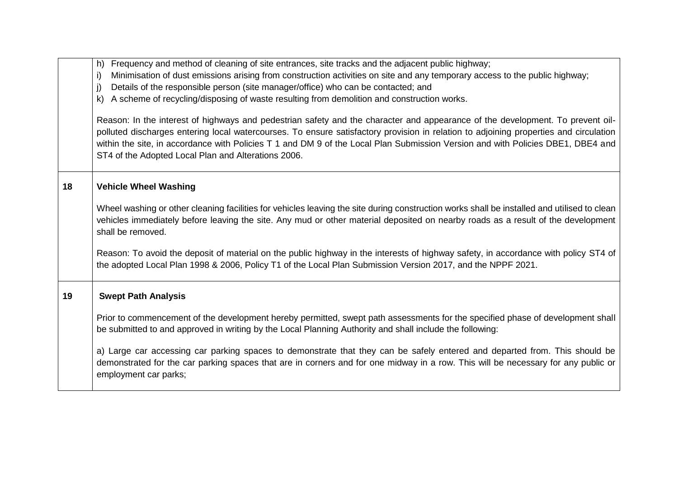|    | Frequency and method of cleaning of site entrances, site tracks and the adjacent public highway;<br>h)                                                |
|----|-------------------------------------------------------------------------------------------------------------------------------------------------------|
|    | Minimisation of dust emissions arising from construction activities on site and any temporary access to the public highway;<br>i)                     |
|    | Details of the responsible person (site manager/office) who can be contacted; and<br>j)                                                               |
|    | A scheme of recycling/disposing of waste resulting from demolition and construction works.<br>$\mathsf{k}$                                            |
|    | Reason: In the interest of highways and pedestrian safety and the character and appearance of the development. To prevent oil-                        |
|    | polluted discharges entering local watercourses. To ensure satisfactory provision in relation to adjoining properties and circulation                 |
|    | within the site, in accordance with Policies T 1 and DM 9 of the Local Plan Submission Version and with Policies DBE1, DBE4 and                       |
|    | ST4 of the Adopted Local Plan and Alterations 2006.                                                                                                   |
|    |                                                                                                                                                       |
|    |                                                                                                                                                       |
| 18 | <b>Vehicle Wheel Washing</b>                                                                                                                          |
|    |                                                                                                                                                       |
|    | Wheel washing or other cleaning facilities for vehicles leaving the site during construction works shall be installed and utilised to clean           |
|    | vehicles immediately before leaving the site. Any mud or other material deposited on nearby roads as a result of the development<br>shall be removed. |
|    |                                                                                                                                                       |
|    | Reason: To avoid the deposit of material on the public highway in the interests of highway safety, in accordance with policy ST4 of                   |
|    | the adopted Local Plan 1998 & 2006, Policy T1 of the Local Plan Submission Version 2017, and the NPPF 2021.                                           |
|    |                                                                                                                                                       |
|    |                                                                                                                                                       |
| 19 | <b>Swept Path Analysis</b>                                                                                                                            |
|    | Prior to commencement of the development hereby permitted, swept path assessments for the specified phase of development shall                        |
|    | be submitted to and approved in writing by the Local Planning Authority and shall include the following:                                              |
|    |                                                                                                                                                       |
|    | a) Large car accessing car parking spaces to demonstrate that they can be safely entered and departed from. This should be                            |
|    | demonstrated for the car parking spaces that are in corners and for one midway in a row. This will be necessary for any public or                     |
|    | employment car parks;                                                                                                                                 |
|    |                                                                                                                                                       |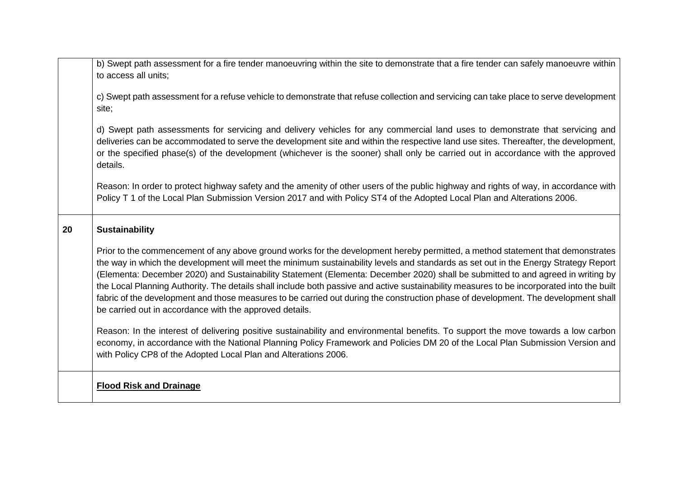|    | b) Swept path assessment for a fire tender manoeuvring within the site to demonstrate that a fire tender can safely manoeuvre within<br>to access all units;                                                                                                                                                                                                                                                                                                                                                                                                                                                                                                                                                                                           |
|----|--------------------------------------------------------------------------------------------------------------------------------------------------------------------------------------------------------------------------------------------------------------------------------------------------------------------------------------------------------------------------------------------------------------------------------------------------------------------------------------------------------------------------------------------------------------------------------------------------------------------------------------------------------------------------------------------------------------------------------------------------------|
|    | c) Swept path assessment for a refuse vehicle to demonstrate that refuse collection and servicing can take place to serve development<br>site;                                                                                                                                                                                                                                                                                                                                                                                                                                                                                                                                                                                                         |
|    | d) Swept path assessments for servicing and delivery vehicles for any commercial land uses to demonstrate that servicing and<br>deliveries can be accommodated to serve the development site and within the respective land use sites. Thereafter, the development,<br>or the specified phase(s) of the development (whichever is the sooner) shall only be carried out in accordance with the approved<br>details.                                                                                                                                                                                                                                                                                                                                    |
|    | Reason: In order to protect highway safety and the amenity of other users of the public highway and rights of way, in accordance with<br>Policy T 1 of the Local Plan Submission Version 2017 and with Policy ST4 of the Adopted Local Plan and Alterations 2006.                                                                                                                                                                                                                                                                                                                                                                                                                                                                                      |
| 20 | <b>Sustainability</b>                                                                                                                                                                                                                                                                                                                                                                                                                                                                                                                                                                                                                                                                                                                                  |
|    | Prior to the commencement of any above ground works for the development hereby permitted, a method statement that demonstrates<br>the way in which the development will meet the minimum sustainability levels and standards as set out in the Energy Strategy Report<br>(Elementa: December 2020) and Sustainability Statement (Elementa: December 2020) shall be submitted to and agreed in writing by<br>the Local Planning Authority. The details shall include both passive and active sustainability measures to be incorporated into the built<br>fabric of the development and those measures to be carried out during the construction phase of development. The development shall<br>be carried out in accordance with the approved details. |
|    | Reason: In the interest of delivering positive sustainability and environmental benefits. To support the move towards a low carbon<br>economy, in accordance with the National Planning Policy Framework and Policies DM 20 of the Local Plan Submission Version and<br>with Policy CP8 of the Adopted Local Plan and Alterations 2006.                                                                                                                                                                                                                                                                                                                                                                                                                |
|    | <b>Flood Risk and Drainage</b>                                                                                                                                                                                                                                                                                                                                                                                                                                                                                                                                                                                                                                                                                                                         |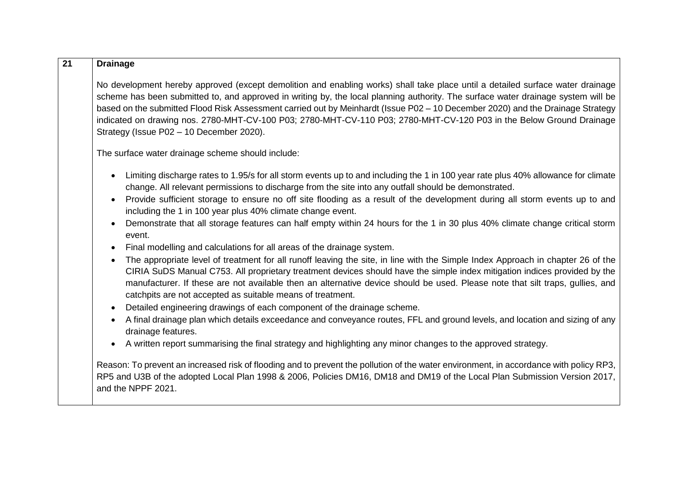| 21 | <b>Drainage</b>                                                                                                                                                                                                                                                                                                                                                                                                                                                                                                                                                                                                            |
|----|----------------------------------------------------------------------------------------------------------------------------------------------------------------------------------------------------------------------------------------------------------------------------------------------------------------------------------------------------------------------------------------------------------------------------------------------------------------------------------------------------------------------------------------------------------------------------------------------------------------------------|
|    | No development hereby approved (except demolition and enabling works) shall take place until a detailed surface water drainage<br>scheme has been submitted to, and approved in writing by, the local planning authority. The surface water drainage system will be<br>based on the submitted Flood Risk Assessment carried out by Meinhardt (Issue P02 - 10 December 2020) and the Drainage Strategy<br>indicated on drawing nos. 2780-MHT-CV-100 P03; 2780-MHT-CV-110 P03; 2780-MHT-CV-120 P03 in the Below Ground Drainage<br>Strategy (Issue P02 - 10 December 2020).                                                  |
|    | The surface water drainage scheme should include:                                                                                                                                                                                                                                                                                                                                                                                                                                                                                                                                                                          |
|    | Limiting discharge rates to 1.95/s for all storm events up to and including the 1 in 100 year rate plus 40% allowance for climate<br>change. All relevant permissions to discharge from the site into any outfall should be demonstrated.<br>Provide sufficient storage to ensure no off site flooding as a result of the development during all storm events up to and<br>including the 1 in 100 year plus 40% climate change event.<br>Demonstrate that all storage features can half empty within 24 hours for the 1 in 30 plus 40% climate change critical storm                                                       |
|    | event.<br>Final modelling and calculations for all areas of the drainage system.<br>The appropriate level of treatment for all runoff leaving the site, in line with the Simple Index Approach in chapter 26 of the<br>CIRIA SuDS Manual C753. All proprietary treatment devices should have the simple index mitigation indices provided by the<br>manufacturer. If these are not available then an alternative device should be used. Please note that silt traps, gullies, and<br>catchpits are not accepted as suitable means of treatment.<br>Detailed engineering drawings of each component of the drainage scheme. |
|    | A final drainage plan which details exceedance and conveyance routes, FFL and ground levels, and location and sizing of any<br>drainage features.<br>A written report summarising the final strategy and highlighting any minor changes to the approved strategy.                                                                                                                                                                                                                                                                                                                                                          |
|    | Reason: To prevent an increased risk of flooding and to prevent the pollution of the water environment, in accordance with policy RP3,<br>RP5 and U3B of the adopted Local Plan 1998 & 2006, Policies DM16, DM18 and DM19 of the Local Plan Submission Version 2017,<br>and the NPPF 2021.                                                                                                                                                                                                                                                                                                                                 |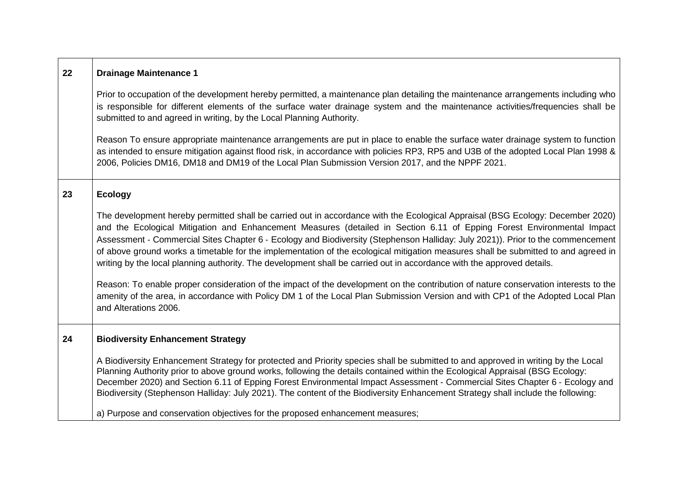| 22 | <b>Drainage Maintenance 1</b>                                                                                                                                                                                                                                                                                                                                                                                                                                                                                                                                                                                                                                                                                                                                                                                                                                                                                                                                  |
|----|----------------------------------------------------------------------------------------------------------------------------------------------------------------------------------------------------------------------------------------------------------------------------------------------------------------------------------------------------------------------------------------------------------------------------------------------------------------------------------------------------------------------------------------------------------------------------------------------------------------------------------------------------------------------------------------------------------------------------------------------------------------------------------------------------------------------------------------------------------------------------------------------------------------------------------------------------------------|
|    | Prior to occupation of the development hereby permitted, a maintenance plan detailing the maintenance arrangements including who<br>is responsible for different elements of the surface water drainage system and the maintenance activities/frequencies shall be<br>submitted to and agreed in writing, by the Local Planning Authority.                                                                                                                                                                                                                                                                                                                                                                                                                                                                                                                                                                                                                     |
|    | Reason To ensure appropriate maintenance arrangements are put in place to enable the surface water drainage system to function<br>as intended to ensure mitigation against flood risk, in accordance with policies RP3, RP5 and U3B of the adopted Local Plan 1998 &<br>2006, Policies DM16, DM18 and DM19 of the Local Plan Submission Version 2017, and the NPPF 2021.                                                                                                                                                                                                                                                                                                                                                                                                                                                                                                                                                                                       |
| 23 | <b>Ecology</b>                                                                                                                                                                                                                                                                                                                                                                                                                                                                                                                                                                                                                                                                                                                                                                                                                                                                                                                                                 |
|    | The development hereby permitted shall be carried out in accordance with the Ecological Appraisal (BSG Ecology: December 2020)<br>and the Ecological Mitigation and Enhancement Measures (detailed in Section 6.11 of Epping Forest Environmental Impact<br>Assessment - Commercial Sites Chapter 6 - Ecology and Biodiversity (Stephenson Halliday: July 2021)). Prior to the commencement<br>of above ground works a timetable for the implementation of the ecological mitigation measures shall be submitted to and agreed in<br>writing by the local planning authority. The development shall be carried out in accordance with the approved details.<br>Reason: To enable proper consideration of the impact of the development on the contribution of nature conservation interests to the<br>amenity of the area, in accordance with Policy DM 1 of the Local Plan Submission Version and with CP1 of the Adopted Local Plan<br>and Alterations 2006. |
| 24 | <b>Biodiversity Enhancement Strategy</b>                                                                                                                                                                                                                                                                                                                                                                                                                                                                                                                                                                                                                                                                                                                                                                                                                                                                                                                       |
|    | A Biodiversity Enhancement Strategy for protected and Priority species shall be submitted to and approved in writing by the Local<br>Planning Authority prior to above ground works, following the details contained within the Ecological Appraisal (BSG Ecology:<br>December 2020) and Section 6.11 of Epping Forest Environmental Impact Assessment - Commercial Sites Chapter 6 - Ecology and<br>Biodiversity (Stephenson Halliday: July 2021). The content of the Biodiversity Enhancement Strategy shall include the following:                                                                                                                                                                                                                                                                                                                                                                                                                          |
|    | a) Purpose and conservation objectives for the proposed enhancement measures;                                                                                                                                                                                                                                                                                                                                                                                                                                                                                                                                                                                                                                                                                                                                                                                                                                                                                  |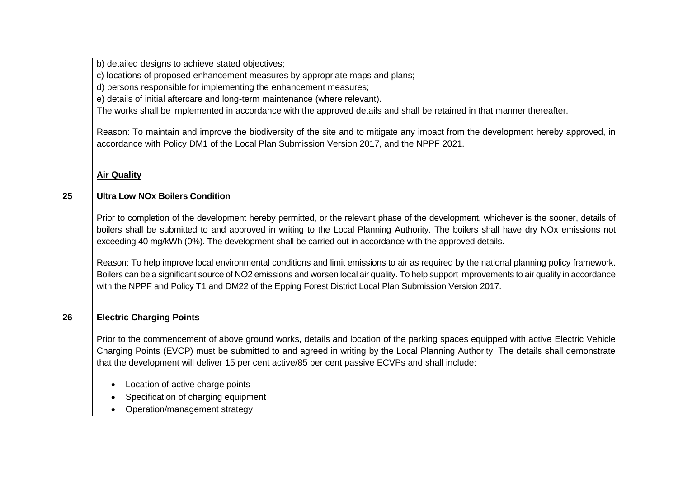|    | b) detailed designs to achieve stated objectives;                                                                                                                                                                                                                                                                                                                                                  |
|----|----------------------------------------------------------------------------------------------------------------------------------------------------------------------------------------------------------------------------------------------------------------------------------------------------------------------------------------------------------------------------------------------------|
|    | c) locations of proposed enhancement measures by appropriate maps and plans;                                                                                                                                                                                                                                                                                                                       |
|    | d) persons responsible for implementing the enhancement measures;                                                                                                                                                                                                                                                                                                                                  |
|    | e) details of initial aftercare and long-term maintenance (where relevant).                                                                                                                                                                                                                                                                                                                        |
|    | The works shall be implemented in accordance with the approved details and shall be retained in that manner thereafter.                                                                                                                                                                                                                                                                            |
|    | Reason: To maintain and improve the biodiversity of the site and to mitigate any impact from the development hereby approved, in<br>accordance with Policy DM1 of the Local Plan Submission Version 2017, and the NPPF 2021.                                                                                                                                                                       |
|    | <b>Air Quality</b>                                                                                                                                                                                                                                                                                                                                                                                 |
| 25 | <b>Ultra Low NOx Boilers Condition</b>                                                                                                                                                                                                                                                                                                                                                             |
|    | Prior to completion of the development hereby permitted, or the relevant phase of the development, whichever is the sooner, details of<br>boilers shall be submitted to and approved in writing to the Local Planning Authority. The boilers shall have dry NOx emissions not<br>exceeding 40 mg/kWh (0%). The development shall be carried out in accordance with the approved details.           |
|    | Reason: To help improve local environmental conditions and limit emissions to air as required by the national planning policy framework.<br>Boilers can be a significant source of NO2 emissions and worsen local air quality. To help support improvements to air quality in accordance<br>with the NPPF and Policy T1 and DM22 of the Epping Forest District Local Plan Submission Version 2017. |
| 26 | <b>Electric Charging Points</b>                                                                                                                                                                                                                                                                                                                                                                    |
|    | Prior to the commencement of above ground works, details and location of the parking spaces equipped with active Electric Vehicle<br>Charging Points (EVCP) must be submitted to and agreed in writing by the Local Planning Authority. The details shall demonstrate<br>that the development will deliver 15 per cent active/85 per cent passive ECVPs and shall include:                         |
|    | Location of active charge points<br>$\bullet$                                                                                                                                                                                                                                                                                                                                                      |
|    | Specification of charging equipment                                                                                                                                                                                                                                                                                                                                                                |
|    | Operation/management strategy                                                                                                                                                                                                                                                                                                                                                                      |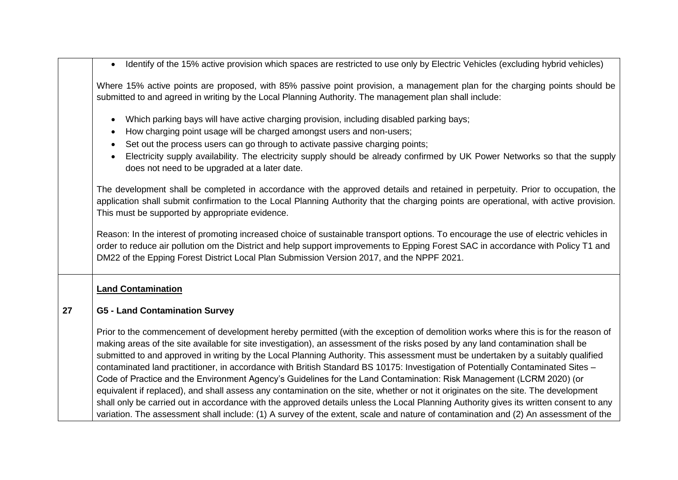Identify of the 15% active provision which spaces are restricted to use only by Electric Vehicles (excluding hybrid vehicles)

Where 15% active points are proposed, with 85% passive point provision, a management plan for the charging points should be submitted to and agreed in writing by the Local Planning Authority. The management plan shall include:

- Which parking bays will have active charging provision, including disabled parking bays;
- How charging point usage will be charged amongst users and non-users;
- Set out the process users can go through to activate passive charging points;
- Electricity supply availability. The electricity supply should be already confirmed by UK Power Networks so that the supply does not need to be upgraded at a later date.

The development shall be completed in accordance with the approved details and retained in perpetuity. Prior to occupation, the application shall submit confirmation to the Local Planning Authority that the charging points are operational, with active provision. This must be supported by appropriate evidence.

Reason: In the interest of promoting increased choice of sustainable transport options. To encourage the use of electric vehicles in order to reduce air pollution om the District and help support improvements to Epping Forest SAC in accordance with Policy T1 and DM22 of the Epping Forest District Local Plan Submission Version 2017, and the NPPF 2021.

#### **Land Contamination**

#### **27 G5 - Land Contamination Survey**

Prior to the commencement of development hereby permitted (with the exception of demolition works where this is for the reason of making areas of the site available for site investigation), an assessment of the risks posed by any land contamination shall be submitted to and approved in writing by the Local Planning Authority. This assessment must be undertaken by a suitably qualified contaminated land practitioner, in accordance with British Standard BS 10175: Investigation of Potentially Contaminated Sites – Code of Practice and the Environment Agency's Guidelines for the Land Contamination: Risk Management (LCRM 2020) (or equivalent if replaced), and shall assess any contamination on the site, whether or not it originates on the site. The development shall only be carried out in accordance with the approved details unless the Local Planning Authority gives its written consent to any variation. The assessment shall include: (1) A survey of the extent, scale and nature of contamination and (2) An assessment of the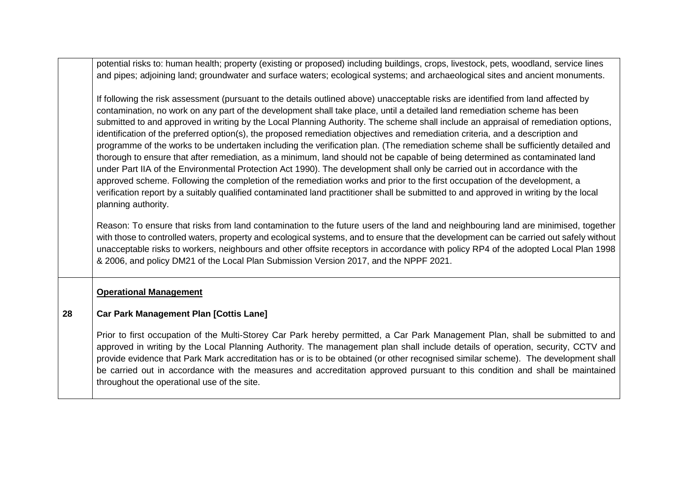|    | potential risks to: human health; property (existing or proposed) including buildings, crops, livestock, pets, woodland, service lines<br>and pipes; adjoining land; groundwater and surface waters; ecological systems; and archaeological sites and ancient monuments.                                                                                                                                                                                                                                                                                                                                                                                                                                                                                                                                                                                                                                                                                                                                                                                                                                                                                                                                                                   |
|----|--------------------------------------------------------------------------------------------------------------------------------------------------------------------------------------------------------------------------------------------------------------------------------------------------------------------------------------------------------------------------------------------------------------------------------------------------------------------------------------------------------------------------------------------------------------------------------------------------------------------------------------------------------------------------------------------------------------------------------------------------------------------------------------------------------------------------------------------------------------------------------------------------------------------------------------------------------------------------------------------------------------------------------------------------------------------------------------------------------------------------------------------------------------------------------------------------------------------------------------------|
|    | If following the risk assessment (pursuant to the details outlined above) unacceptable risks are identified from land affected by<br>contamination, no work on any part of the development shall take place, until a detailed land remediation scheme has been<br>submitted to and approved in writing by the Local Planning Authority. The scheme shall include an appraisal of remediation options,<br>identification of the preferred option(s), the proposed remediation objectives and remediation criteria, and a description and<br>programme of the works to be undertaken including the verification plan. (The remediation scheme shall be sufficiently detailed and<br>thorough to ensure that after remediation, as a minimum, land should not be capable of being determined as contaminated land<br>under Part IIA of the Environmental Protection Act 1990). The development shall only be carried out in accordance with the<br>approved scheme. Following the completion of the remediation works and prior to the first occupation of the development, a<br>verification report by a suitably qualified contaminated land practitioner shall be submitted to and approved in writing by the local<br>planning authority. |
|    | Reason: To ensure that risks from land contamination to the future users of the land and neighbouring land are minimised, together<br>with those to controlled waters, property and ecological systems, and to ensure that the development can be carried out safely without<br>unacceptable risks to workers, neighbours and other offsite receptors in accordance with policy RP4 of the adopted Local Plan 1998<br>& 2006, and policy DM21 of the Local Plan Submission Version 2017, and the NPPF 2021.                                                                                                                                                                                                                                                                                                                                                                                                                                                                                                                                                                                                                                                                                                                                |
|    | <b>Operational Management</b>                                                                                                                                                                                                                                                                                                                                                                                                                                                                                                                                                                                                                                                                                                                                                                                                                                                                                                                                                                                                                                                                                                                                                                                                              |
| 28 | <b>Car Park Management Plan [Cottis Lane]</b>                                                                                                                                                                                                                                                                                                                                                                                                                                                                                                                                                                                                                                                                                                                                                                                                                                                                                                                                                                                                                                                                                                                                                                                              |
|    | Prior to first occupation of the Multi-Storey Car Park hereby permitted, a Car Park Management Plan, shall be submitted to and<br>approved in writing by the Local Planning Authority. The management plan shall include details of operation, security, CCTV and<br>provide evidence that Park Mark accreditation has or is to be obtained (or other recognised similar scheme). The development shall<br>be carried out in accordance with the measures and accreditation approved pursuant to this condition and shall be maintained<br>throughout the operational use of the site.                                                                                                                                                                                                                                                                                                                                                                                                                                                                                                                                                                                                                                                     |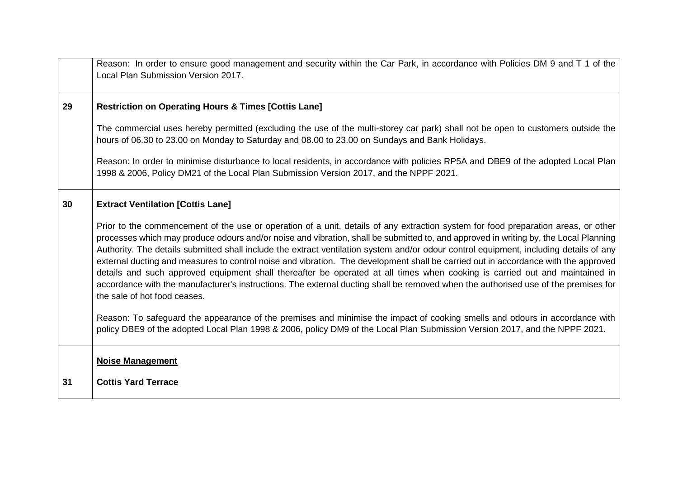|    | Reason: In order to ensure good management and security within the Car Park, in accordance with Policies DM 9 and T 1 of the<br>Local Plan Submission Version 2017.                                                                                                                                                                                                                                                                                                                                                                                                                                                                                                                                                                                                                                                                                             |
|----|-----------------------------------------------------------------------------------------------------------------------------------------------------------------------------------------------------------------------------------------------------------------------------------------------------------------------------------------------------------------------------------------------------------------------------------------------------------------------------------------------------------------------------------------------------------------------------------------------------------------------------------------------------------------------------------------------------------------------------------------------------------------------------------------------------------------------------------------------------------------|
| 29 | <b>Restriction on Operating Hours &amp; Times [Cottis Lane]</b>                                                                                                                                                                                                                                                                                                                                                                                                                                                                                                                                                                                                                                                                                                                                                                                                 |
|    | The commercial uses hereby permitted (excluding the use of the multi-storey car park) shall not be open to customers outside the<br>hours of 06.30 to 23.00 on Monday to Saturday and 08.00 to 23.00 on Sundays and Bank Holidays.                                                                                                                                                                                                                                                                                                                                                                                                                                                                                                                                                                                                                              |
|    | Reason: In order to minimise disturbance to local residents, in accordance with policies RP5A and DBE9 of the adopted Local Plan<br>1998 & 2006, Policy DM21 of the Local Plan Submission Version 2017, and the NPPF 2021.                                                                                                                                                                                                                                                                                                                                                                                                                                                                                                                                                                                                                                      |
| 30 | <b>Extract Ventilation [Cottis Lane]</b>                                                                                                                                                                                                                                                                                                                                                                                                                                                                                                                                                                                                                                                                                                                                                                                                                        |
|    | Prior to the commencement of the use or operation of a unit, details of any extraction system for food preparation areas, or other<br>processes which may produce odours and/or noise and vibration, shall be submitted to, and approved in writing by, the Local Planning<br>Authority. The details submitted shall include the extract ventilation system and/or odour control equipment, including details of any<br>external ducting and measures to control noise and vibration. The development shall be carried out in accordance with the approved<br>details and such approved equipment shall thereafter be operated at all times when cooking is carried out and maintained in<br>accordance with the manufacturer's instructions. The external ducting shall be removed when the authorised use of the premises for<br>the sale of hot food ceases. |
|    | Reason: To safeguard the appearance of the premises and minimise the impact of cooking smells and odours in accordance with<br>policy DBE9 of the adopted Local Plan 1998 & 2006, policy DM9 of the Local Plan Submission Version 2017, and the NPPF 2021.                                                                                                                                                                                                                                                                                                                                                                                                                                                                                                                                                                                                      |
|    | <b>Noise Management</b>                                                                                                                                                                                                                                                                                                                                                                                                                                                                                                                                                                                                                                                                                                                                                                                                                                         |
| 31 | <b>Cottis Yard Terrace</b>                                                                                                                                                                                                                                                                                                                                                                                                                                                                                                                                                                                                                                                                                                                                                                                                                                      |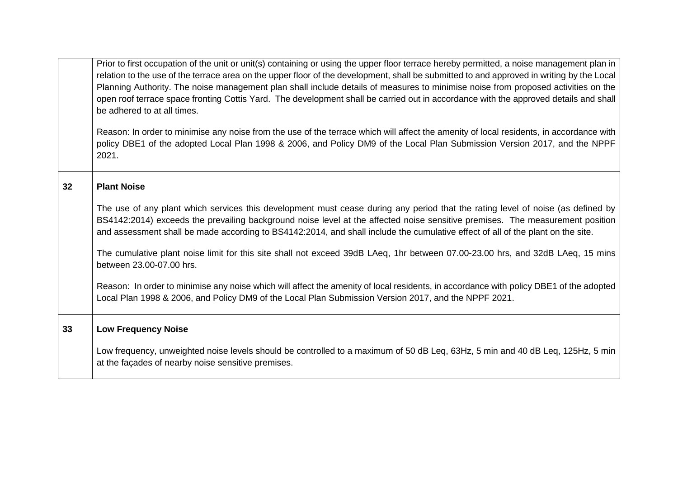|    | Prior to first occupation of the unit or unit(s) containing or using the upper floor terrace hereby permitted, a noise management plan in<br>relation to the use of the terrace area on the upper floor of the development, shall be submitted to and approved in writing by the Local<br>Planning Authority. The noise management plan shall include details of measures to minimise noise from proposed activities on the<br>open roof terrace space fronting Cottis Yard. The development shall be carried out in accordance with the approved details and shall<br>be adhered to at all times.<br>Reason: In order to minimise any noise from the use of the terrace which will affect the amenity of local residents, in accordance with<br>policy DBE1 of the adopted Local Plan 1998 & 2006, and Policy DM9 of the Local Plan Submission Version 2017, and the NPPF<br>2021. |
|----|-------------------------------------------------------------------------------------------------------------------------------------------------------------------------------------------------------------------------------------------------------------------------------------------------------------------------------------------------------------------------------------------------------------------------------------------------------------------------------------------------------------------------------------------------------------------------------------------------------------------------------------------------------------------------------------------------------------------------------------------------------------------------------------------------------------------------------------------------------------------------------------|
| 32 | <b>Plant Noise</b>                                                                                                                                                                                                                                                                                                                                                                                                                                                                                                                                                                                                                                                                                                                                                                                                                                                                  |
|    | The use of any plant which services this development must cease during any period that the rating level of noise (as defined by<br>BS4142:2014) exceeds the prevailing background noise level at the affected noise sensitive premises. The measurement position<br>and assessment shall be made according to BS4142:2014, and shall include the cumulative effect of all of the plant on the site.                                                                                                                                                                                                                                                                                                                                                                                                                                                                                 |
|    | The cumulative plant noise limit for this site shall not exceed 39dB LAeq, 1hr between 07.00-23.00 hrs, and 32dB LAeq, 15 mins<br>between 23.00-07.00 hrs.                                                                                                                                                                                                                                                                                                                                                                                                                                                                                                                                                                                                                                                                                                                          |
|    | Reason: In order to minimise any noise which will affect the amenity of local residents, in accordance with policy DBE1 of the adopted<br>Local Plan 1998 & 2006, and Policy DM9 of the Local Plan Submission Version 2017, and the NPPF 2021.                                                                                                                                                                                                                                                                                                                                                                                                                                                                                                                                                                                                                                      |
| 33 | <b>Low Frequency Noise</b>                                                                                                                                                                                                                                                                                                                                                                                                                                                                                                                                                                                                                                                                                                                                                                                                                                                          |
|    | Low frequency, unweighted noise levels should be controlled to a maximum of 50 dB Leq, 63Hz, 5 min and 40 dB Leq, 125Hz, 5 min<br>at the façades of nearby noise sensitive premises.                                                                                                                                                                                                                                                                                                                                                                                                                                                                                                                                                                                                                                                                                                |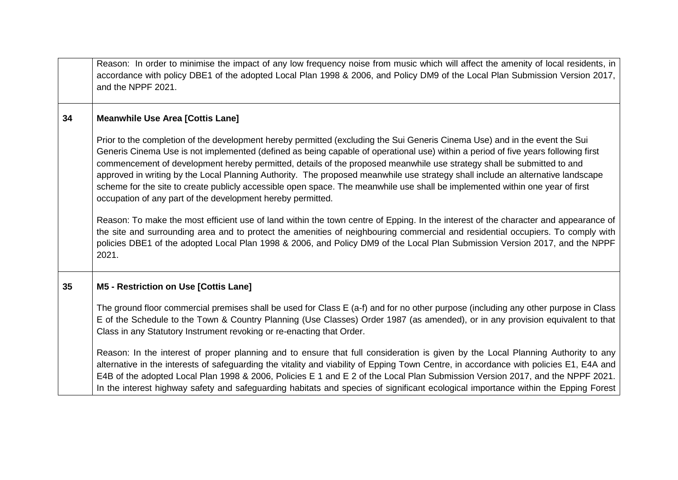|    | Reason: In order to minimise the impact of any low frequency noise from music which will affect the amenity of local residents, in<br>accordance with policy DBE1 of the adopted Local Plan 1998 & 2006, and Policy DM9 of the Local Plan Submission Version 2017,<br>and the NPPF 2021.                                                                                                                                                                                                                                                                                                                                                                                                                                                                                                                                                                                                                                                                                                                                                                                                                                                        |
|----|-------------------------------------------------------------------------------------------------------------------------------------------------------------------------------------------------------------------------------------------------------------------------------------------------------------------------------------------------------------------------------------------------------------------------------------------------------------------------------------------------------------------------------------------------------------------------------------------------------------------------------------------------------------------------------------------------------------------------------------------------------------------------------------------------------------------------------------------------------------------------------------------------------------------------------------------------------------------------------------------------------------------------------------------------------------------------------------------------------------------------------------------------|
| 34 | <b>Meanwhile Use Area [Cottis Lane]</b>                                                                                                                                                                                                                                                                                                                                                                                                                                                                                                                                                                                                                                                                                                                                                                                                                                                                                                                                                                                                                                                                                                         |
|    | Prior to the completion of the development hereby permitted (excluding the Sui Generis Cinema Use) and in the event the Sui<br>Generis Cinema Use is not implemented (defined as being capable of operational use) within a period of five years following first<br>commencement of development hereby permitted, details of the proposed meanwhile use strategy shall be submitted to and<br>approved in writing by the Local Planning Authority. The proposed meanwhile use strategy shall include an alternative landscape<br>scheme for the site to create publicly accessible open space. The meanwhile use shall be implemented within one year of first<br>occupation of any part of the development hereby permitted.<br>Reason: To make the most efficient use of land within the town centre of Epping. In the interest of the character and appearance of<br>the site and surrounding area and to protect the amenities of neighbouring commercial and residential occupiers. To comply with<br>policies DBE1 of the adopted Local Plan 1998 & 2006, and Policy DM9 of the Local Plan Submission Version 2017, and the NPPF<br>2021. |
| 35 | M5 - Restriction on Use [Cottis Lane]                                                                                                                                                                                                                                                                                                                                                                                                                                                                                                                                                                                                                                                                                                                                                                                                                                                                                                                                                                                                                                                                                                           |
|    | The ground floor commercial premises shall be used for Class E (a-f) and for no other purpose (including any other purpose in Class<br>E of the Schedule to the Town & Country Planning (Use Classes) Order 1987 (as amended), or in any provision equivalent to that<br>Class in any Statutory Instrument revoking or re-enacting that Order.                                                                                                                                                                                                                                                                                                                                                                                                                                                                                                                                                                                                                                                                                                                                                                                                  |
|    | Reason: In the interest of proper planning and to ensure that full consideration is given by the Local Planning Authority to any<br>alternative in the interests of safeguarding the vitality and viability of Epping Town Centre, in accordance with policies E1, E4A and<br>E4B of the adopted Local Plan 1998 & 2006, Policies E 1 and E 2 of the Local Plan Submission Version 2017, and the NPPF 2021.<br>In the interest highway safety and safeguarding habitats and species of significant ecological importance within the Epping Forest                                                                                                                                                                                                                                                                                                                                                                                                                                                                                                                                                                                               |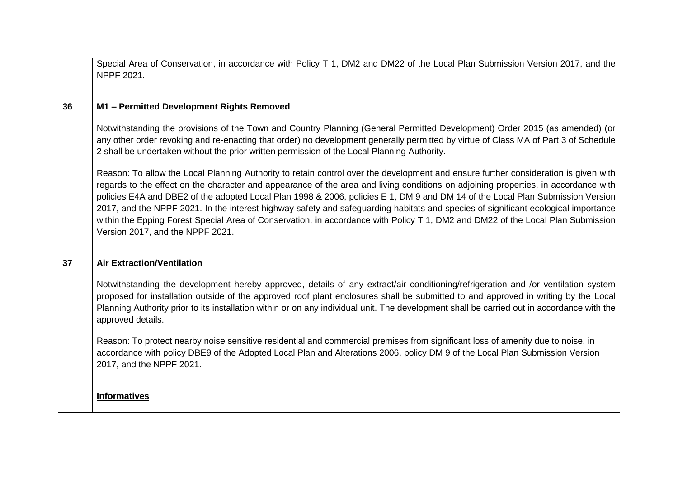|    | Special Area of Conservation, in accordance with Policy T 1, DM2 and DM22 of the Local Plan Submission Version 2017, and the<br>NPPF 2021.                                                                                                                                                                                                                                                                                                                                                                                                                                                                                                                                                                                |
|----|---------------------------------------------------------------------------------------------------------------------------------------------------------------------------------------------------------------------------------------------------------------------------------------------------------------------------------------------------------------------------------------------------------------------------------------------------------------------------------------------------------------------------------------------------------------------------------------------------------------------------------------------------------------------------------------------------------------------------|
| 36 | M1 - Permitted Development Rights Removed                                                                                                                                                                                                                                                                                                                                                                                                                                                                                                                                                                                                                                                                                 |
|    | Notwithstanding the provisions of the Town and Country Planning (General Permitted Development) Order 2015 (as amended) (or<br>any other order revoking and re-enacting that order) no development generally permitted by virtue of Class MA of Part 3 of Schedule<br>2 shall be undertaken without the prior written permission of the Local Planning Authority.                                                                                                                                                                                                                                                                                                                                                         |
|    | Reason: To allow the Local Planning Authority to retain control over the development and ensure further consideration is given with<br>regards to the effect on the character and appearance of the area and living conditions on adjoining properties, in accordance with<br>policies E4A and DBE2 of the adopted Local Plan 1998 & 2006, policies E 1, DM 9 and DM 14 of the Local Plan Submission Version<br>2017, and the NPPF 2021. In the interest highway safety and safeguarding habitats and species of significant ecological importance<br>within the Epping Forest Special Area of Conservation, in accordance with Policy T 1, DM2 and DM22 of the Local Plan Submission<br>Version 2017, and the NPPF 2021. |
| 37 | <b>Air Extraction/Ventilation</b>                                                                                                                                                                                                                                                                                                                                                                                                                                                                                                                                                                                                                                                                                         |
|    | Notwithstanding the development hereby approved, details of any extract/air conditioning/refrigeration and /or ventilation system<br>proposed for installation outside of the approved roof plant enclosures shall be submitted to and approved in writing by the Local<br>Planning Authority prior to its installation within or on any individual unit. The development shall be carried out in accordance with the<br>approved details.                                                                                                                                                                                                                                                                                |
|    | Reason: To protect nearby noise sensitive residential and commercial premises from significant loss of amenity due to noise, in<br>accordance with policy DBE9 of the Adopted Local Plan and Alterations 2006, policy DM 9 of the Local Plan Submission Version<br>2017, and the NPPF 2021.                                                                                                                                                                                                                                                                                                                                                                                                                               |
|    | <b>Informatives</b>                                                                                                                                                                                                                                                                                                                                                                                                                                                                                                                                                                                                                                                                                                       |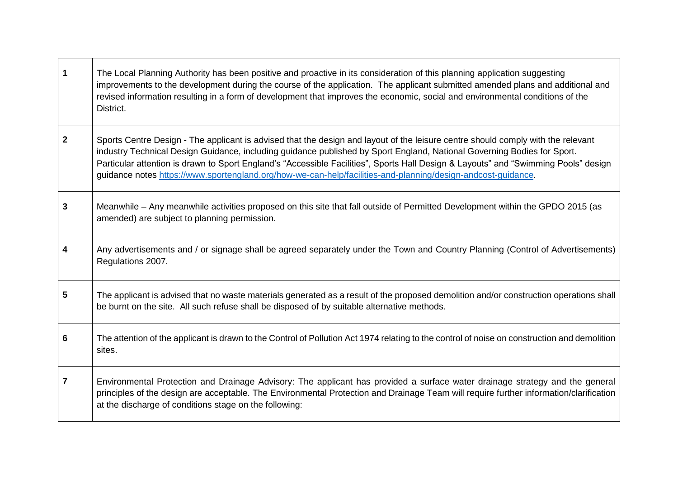| $\mathbf 1$  | The Local Planning Authority has been positive and proactive in its consideration of this planning application suggesting<br>improvements to the development during the course of the application. The applicant submitted amended plans and additional and<br>revised information resulting in a form of development that improves the economic, social and environmental conditions of the<br>District.                                                                                                          |
|--------------|--------------------------------------------------------------------------------------------------------------------------------------------------------------------------------------------------------------------------------------------------------------------------------------------------------------------------------------------------------------------------------------------------------------------------------------------------------------------------------------------------------------------|
| $\mathbf{2}$ | Sports Centre Design - The applicant is advised that the design and layout of the leisure centre should comply with the relevant<br>industry Technical Design Guidance, including guidance published by Sport England, National Governing Bodies for Sport.<br>Particular attention is drawn to Sport England's "Accessible Facilities", Sports Hall Design & Layouts" and "Swimming Pools" design<br>guidance notes https://www.sportengland.org/how-we-can-help/facilities-and-planning/design-andcost-guidance. |
| 3            | Meanwhile – Any meanwhile activities proposed on this site that fall outside of Permitted Development within the GPDO 2015 (as<br>amended) are subject to planning permission.                                                                                                                                                                                                                                                                                                                                     |
| 4            | Any advertisements and / or signage shall be agreed separately under the Town and Country Planning (Control of Advertisements)<br>Regulations 2007.                                                                                                                                                                                                                                                                                                                                                                |
| 5            | The applicant is advised that no waste materials generated as a result of the proposed demolition and/or construction operations shall<br>be burnt on the site. All such refuse shall be disposed of by suitable alternative methods.                                                                                                                                                                                                                                                                              |
| 6            | The attention of the applicant is drawn to the Control of Pollution Act 1974 relating to the control of noise on construction and demolition<br>sites.                                                                                                                                                                                                                                                                                                                                                             |
| 7            | Environmental Protection and Drainage Advisory: The applicant has provided a surface water drainage strategy and the general<br>principles of the design are acceptable. The Environmental Protection and Drainage Team will require further information/clarification<br>at the discharge of conditions stage on the following:                                                                                                                                                                                   |